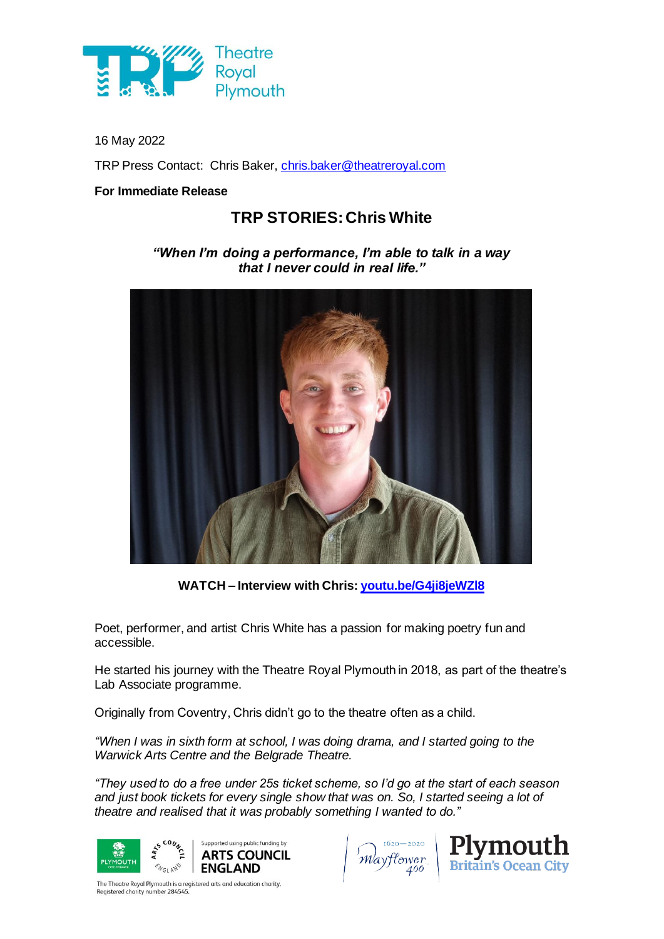

16 May 2022

TRP Press Contact: Chris Baker, [chris.baker@theatreroyal.com](mailto:chris.baker@theatreroyal.com)

## **For Immediate Release**

## **TRP STORIES: Chris White**

*"When I'm doing a performance, I'm able to talk in a way that I never could in real life."*



**WATCH – Interview with Chris: [youtu.be/G4ji8jeWZl8](https://youtu.be/G4ji8jeWZl8)**

Poet, performer, and artist Chris White has a passion for making poetry fun and accessible.

He started his journey with the Theatre Royal Plymouth in 2018, as part of the theatre's Lab Associate programme.

Originally from Coventry, Chris didn't go to the theatre often as a child.

*"When I was in sixth form at school, I was doing drama, and I started going to the Warwick Arts Centre and the Belgrade Theatre.*

*"They used to do a free under 25s ticket scheme, so I'd go at the start of each season and just book tickets for every single show that was on. So, I started seeing a lot of theatre and realised that it was probably something I wanted to do."*





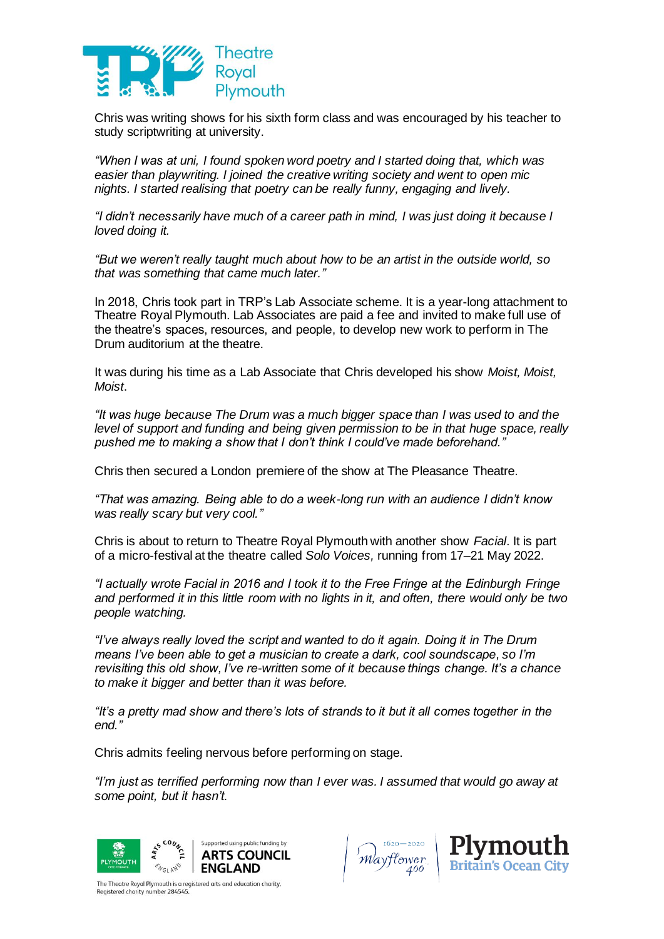

Chris was writing shows for his sixth form class and was encouraged by his teacher to study scriptwriting at university.

*"When I was at uni, I found spoken word poetry and I started doing that, which was easier than playwriting. I joined the creative writing society and went to open mic nights. I started realising that poetry can be really funny, engaging and lively.*

*"I didn't necessarily have much of a career path in mind, I was just doing it because I loved doing it.*

*"But we weren't really taught much about how to be an artist in the outside world, so that was something that came much later."*

In 2018, Chris took part in TRP's Lab Associate scheme. It is a year-long attachment to Theatre Royal Plymouth. Lab Associates are paid a fee and invited to make full use of the theatre's spaces, resources, and people, to develop new work to perform in The Drum auditorium at the theatre.

It was during his time as a Lab Associate that Chris developed his show *Moist, Moist, Moist*.

*"It was huge because The Drum was a much bigger space than I was used to and the level of support and funding and being given permission to be in that huge space, really pushed me to making a show that I don't think I could've made beforehand."*

Chris then secured a London premiere of the show at The Pleasance Theatre.

*"That was amazing. Being able to do a week-long run with an audience I didn't know was really scary but very cool."*

Chris is about to return to Theatre Royal Plymouth with another show *Facial*. It is part of a micro-festival at the theatre called *Solo Voices,* running from 17–21 May 2022.

*"I actually wrote Facial in 2016 and I took it to the Free Fringe at the Edinburgh Fringe and performed it in this little room with no lights in it, and often, there would only be two people watching.*

*"I've always really loved the script and wanted to do it again. Doing it in The Drum means I've been able to get a musician to create a dark, cool soundscape, so I'm revisiting this old show, I've re-written some of it because things change. It's a chance to make it bigger and better than it was before.*

*"It's a pretty mad show and there's lots of strands to it but it all comes together in the end."*

Chris admits feeling nervous before performing on stage.

*"I'm just as terrified performing now than I ever was. I assumed that would go away at some point, but it hasn't.*